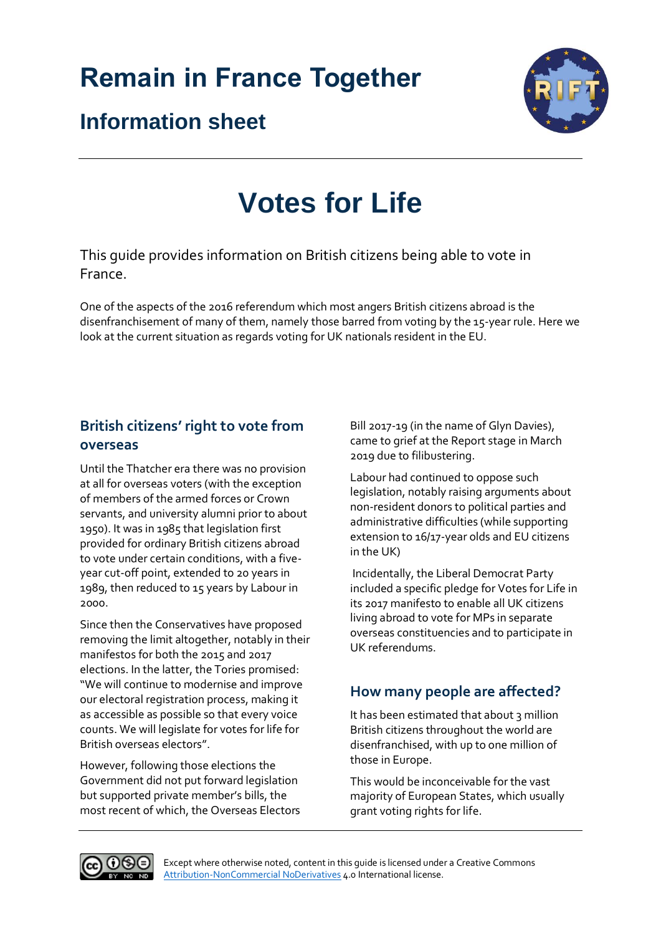### **Remain in France Together**



### **Information sheet**

# **Votes for Life**

This guide provides information on British citizens being able to vote in France.

One of the aspects of the 2016 referendum which most angers British citizens abroad is the disenfranchisement of many of them, namely those barred from voting by the 15-year rule. Here we look at the current situation as regards voting for UK nationals resident in the EU.

#### **British citizens' right to vote from overseas**

Until the Thatcher era there was no provision at all for overseas voters (with the exception of members of the armed forces or Crown servants, and university alumni prior to about 1950). It was in 1985 that legislation first provided for ordinary British citizens abroad to vote under certain conditions, with a fiveyear cut-off point, extended to 20 years in 1989, then reduced to 15 years by Labour in 2000.

Since then the Conservatives have proposed removing the limit altogether, notably in their manifestos for both the 2015 and 2017 elections. In the latter, the Tories promised: "We will continue to modernise and improve our electoral registration process, making it as accessible as possible so that every voice counts. We will legislate for votes for life for British overseas electors".

However, following those elections the Government did not put forward legislation but supported private member's bills, the most recent of which, the Overseas Electors Bill 2017-19 (in the name of Glyn Davies), came to grief at the Report stage in March 2019 due to filibustering.

Labour had continued to oppose such legislation, notably raising arguments about non-resident donors to political parties and administrative difficulties (while supporting extension to 16/17-year olds and EU citizens in the UK)

Incidentally, the Liberal Democrat Party included a specific pledge for Votes for Life in its 2017 manifesto to enable all UK citizens living abroad to vote for MPs in separate overseas constituencies and to participate in UK referendums.

#### **How many people are affected?**

It has been estimated that about 3 million British citizens throughout the world are disenfranchised, with up to one million of those in Europe.

This would be inconceivable for the vast majority of European States, which usually grant voting rights for life.

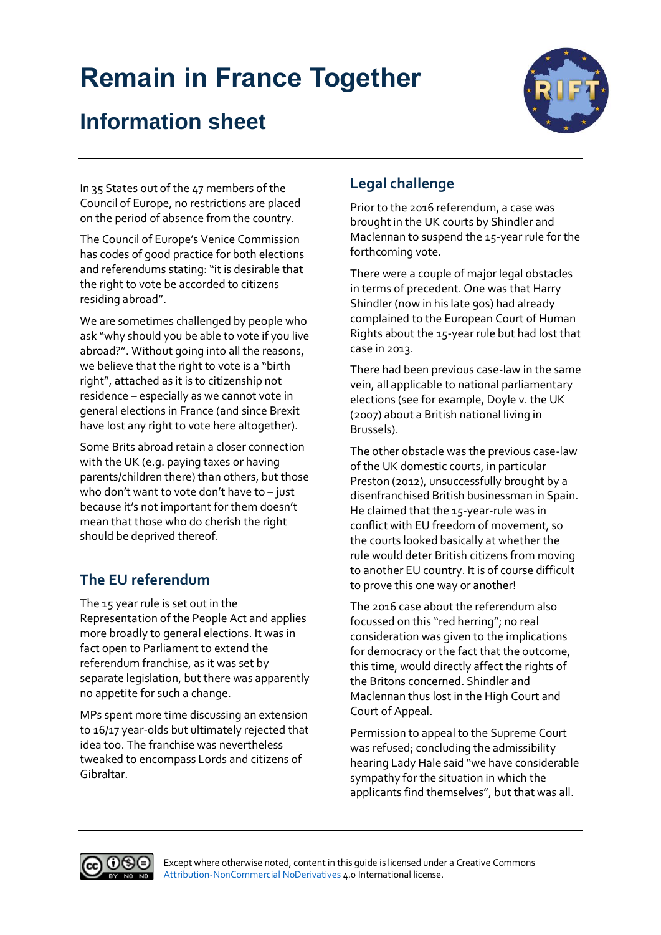## **Remain in France Together**

### **Information sheet**



In 35 States out of the 47 members of the Council of Europe, no restrictions are placed on the period of absence from the country.

The Council of Europe's Venice Commission has codes of good practice for both elections and referendums stating: "it is desirable that the right to vote be accorded to citizens residing abroad".

We are sometimes challenged by people who ask "why should you be able to vote if you live abroad?". Without going into all the reasons, we believe that the right to vote is a "birth right", attached as it is to citizenship not residence – especially as we cannot vote in general elections in France (and since Brexit have lost any right to vote here altogether).

Some Brits abroad retain a closer connection with the UK (e.g. paying taxes or having parents/children there) than others, but those who don't want to vote don't have to – just because it's not important for them doesn't mean that those who do cherish the right should be deprived thereof.

#### **The EU referendum**

The 15 year rule is set out in the Representation of the People Act and applies more broadly to general elections. It was in fact open to Parliament to extend the referendum franchise, as it was set by separate legislation, but there was apparently no appetite for such a change.

MPs spent more time discussing an extension to 16/17 year-olds but ultimately rejected that idea too. The franchise was nevertheless tweaked to encompass Lords and citizens of Gibraltar.

#### **Legal challenge**

Prior to the 2016 referendum, a case was brought in the UK courts by Shindler and Maclennan to suspend the 15-year rule for the forthcoming vote.

There were a couple of major legal obstacles in terms of precedent. One was that Harry Shindler (now in his late 90s) had already complained to the European Court of Human Rights about the 15-year rule but had lost that case in 2013.

There had been previous case-law in the same vein, all applicable to national parliamentary elections (see for example, Doyle v. the UK (2007) about a British national living in Brussels).

The other obstacle was the previous case-law of the UK domestic courts, in particular Preston (2012), unsuccessfully brought by a disenfranchised British businessman in Spain. He claimed that the 15-year-rule was in conflict with EU freedom of movement, so the courts looked basically at whether the rule would deter British citizens from moving to another EU country. It is of course difficult to prove this one way or another!

The 2016 case about the referendum also focussed on this "red herring"; no real consideration was given to the implications for democracy or the fact that the outcome, this time, would directly affect the rights of the Britons concerned. Shindler and Maclennan thus lost in the High Court and Court of Appeal.

Permission to appeal to the Supreme Court was refused; concluding the admissibility hearing Lady Hale said "we have considerable sympathy for the situation in which the applicants find themselves", but that was all.



Except where otherwise noted, content in this guide is licensed under a Creative Commons [Attribution-NonCommercial NoDerivatives](https://creativecommons.org/licenses/by-nc-nd/4.0/) 4.0 International license.